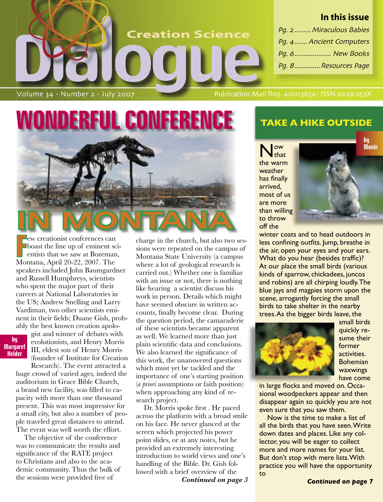|                                  | In this issue                                  |
|----------------------------------|------------------------------------------------|
| <b>Creation Science</b>          | Pg. 2  Miraculous Babies                       |
|                                  | Pg. 4 Ancient Computers                        |
|                                  | Pq. 6 New Books                                |
|                                  | Pg. 8 Resources Page                           |
|                                  |                                                |
| Volume 34 - Number 2 - July 2007 | Publication Mail Reg. 40013654- ISSN 0229-253X |

# **WONDERFUL CONFERENCE**



**FR** Francisconferences can boast the line up of eminent scentists that we saw at Bozeman Montana, April 20-22, 2007. The ew creationist conferences can boast the line up of eminent scientists that we saw at Bozeman, speakers included John Baumgardner and Russell Humphreys, scientists who spent the major part of their careers at National Laboratories in the US; Andrew Snelling and Larry Vardiman, two other scientists eminent in their fields; Duane Gish, probably the best known creation apolo-

gist and winner of debates with evolutionists, and Henry Morris III, eldest son of Henry Morris (founder of Institute for Creation Research). The event attracted a

huge crowd of varied ages, indeed the auditorium in Grace Bible Church, a brand new facility, was filled to capacity with more than one thousand present. This was most impressive for a small city, but also a number of people traveled great distances to attend. The event was well worth the effort.

The objective of the conference was to communicate the results and significance of the RATE project to Christians and also to the academic community. Thus the bulk of the sessions were provided free of

charge in the church, but also two sessions were repeated on the campus of Montana State University (a campus where a lot of geological research is carried out.) Whether one is familiar with an issue or not, there is nothing like hearing a scientist discuss his work in person. Details which might have seemed obscure in written accounts, finally become clear. During the question period, the camaraderie of these scientists became apparent as well. We learned more than just plain scientific data and conclusions. We also learned the significance of this work, the unanswered questions which must yet be tackled and the importance of one's starting position (*a priori* assumptions or faith position) when approaching any kind of research project.

Dr. Morris spoke first . He paced across the platform with a broad smile on his face. He never glanced at the screen which projected his power point slides, or at any notes, but he provided an extremely interesting introduction to world views and one's handling of the Bible. Dr. Gish followed with a brief overview of the

*Continued on page 3*

### **TAKE A HIKE OUTSIDE**

**l**ow that the warm weather has finally arrived, most of us are more than willing to throw off the



winter coats and to head outdoors in less confining outfits. Jump, breathe in the air, open your eyes and your ears. What do you hear (besides traffic)? At our place the small birds (various kinds of sparrow, chickadees, juncos and robins) are all chirping loudly. The blue jays and magpies storm upon the scene, arrogantly forcing the small birds to take shelter in the nearby trees. As the bigger birds leave, the



small birds quickly resume their former activities. Bohemian waxwings have come

in large flocks and moved on. Occasional woodpeckers appear and then disappear again so quickly you are not even sure that you saw them.

Now is the time to make a list of all the birds that you have seen. Write down dates and places. Like any collector, you will be eager to collect more and more names for your list. But don't stop with mere lists. With practice you will have the opportunity to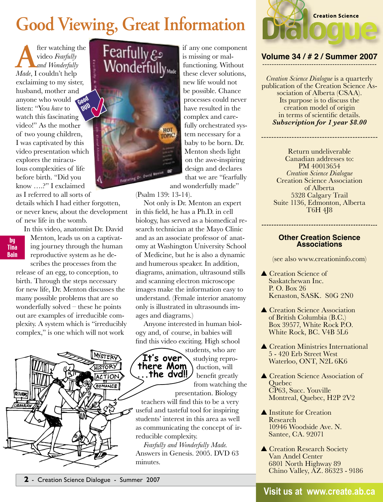# **Good Viewing, Great Information**

fter watching the video *Fearfully and Wonderfully Made*, I couldn't help exclaiming to my sister, husband, mother and anyone who would **Good** listen: "You *have* to watch this fascinating video!" As the mother of two young children, I was captivated by this video presentation which explores the miraculous complexities of life before birth. "Did you know ….?" I exclaimed as I referred to all sorts of aug<sup>1</sup>

details which I had either forgotten, or never knew, about the development of new life in the womb.

In this video, anatomist Dr. David Menton, leads us on a captivating journey through the human reproductive system as he describes the processes from the

release of an egg, to conception, to birth. Through the steps necessary for new life, Dr. Menton discusses the many possible problems that are so wonderfully solved – these he points out are examples of irreducible complexity. A system which is "irreducibly complex," is one which will not work





if any one component is missing or malfunctioning. Without these clever solutions, new life would not be possible. Chance processes could never have resulted in the complex and carefully orchestrated system necessary for a baby to be born. Dr. Menton sheds light on the awe-inspiring design and declares that we are "fearfully

and wonderfully made"

(Psalm 139: 13-14).

Not only is Dr. Menton an expert in this field, he has a Ph.D. in cell biology, has served as a biomedical research technician at the Mayo Clinic and as an associate professor of anatomy at Washington University School of Medicine, but he is also a dynamic and humerous speaker. In addition, diagrams, animation, ultrasound stills and scanning electron microscope images make the information easy to understand. (Female interior anatomy only is illustrated in ultrasounds images and diagrams.)

Anyone interested in human biology and, of course, in babies will find this video exciting. High school

**It's over** 

students, who are studying reproduction, will benefit greatly from watching the **there Mom ...the dvd!!**

presentation. Biology teachers will find this to be a very useful and tasteful tool for inspiring students' interest in this area as well as communicating the concept of irreducible complexity.

*Fearfully and Wonderfully Made.*  Answers in Genesis. 2005. DVD 63 minutes.



**Volume 34 / # 2 / Summer 2007** -------------------------------------------------

*Creation Science Dialogue* is a quarterly publication of the Creation Science Association of Alberta (CSAA). Its purpose is to discuss the creation model of origin in terms of scientific details. *Subscription for 1 year \$8.00*

----------------------------------------------

Return undeliverable Canadian addresses to: PM 40013654 *Creation Science Dialogue* Creation Science Association of Alberta 5328 Calgary Trail Suite 1136, Edmonton, Alberta T6H 4J8

#### **Other Creation Science Associations**

*-----------------------------------------------*

(see also www.creationinfo.com)

- ▲ Creation Science of Saskatchewan Inc. P. O. Box 26 Kenaston, SASK. S0G 2N0
- ▲ Creation Science Association of British Columbia (B.C.) Box 39577, White Rock P.O. White Rock, BC. V4B 5L6
- ▲ Creation Ministries International 5 - 420 Erb Street West Waterloo, ONT, N2L 6K6
- ▲ Creation Science Association of **Ouebec**  CP63, Succ. Youville Montreal, Quebec, H2P 2V2
- **▲ Institute for Creation** Research 10946 Woodside Ave. N. Santee, CA. 92071
- ▲ Creation Research Society Van Andel Center 6801 North Highway 89 Chino Valley, AZ. 86323 - 9186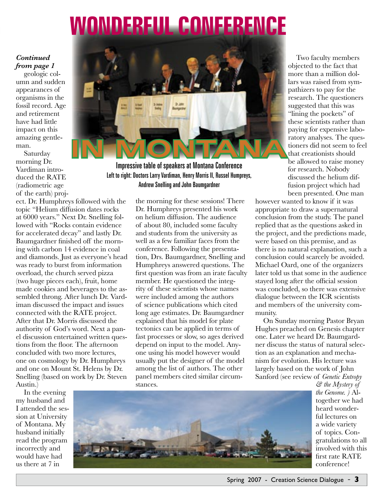# **WONDERFUL CONFERENCE**

#### *Continued from page 1*

geologic column and sudden appearances of organisms in the fossil record. Age and retirement have had little impact on this amazing gentleman.

Saturday morning Dr. Vardiman introduced the RATE (radiometric age of the earth) proj-



Impressive table of speakers at Montana Conference Left to right: Doctors Larry Vardiman, Henry Morris II, Russel Humpreys, Andrew Snelling and John Baumgardner

the morning for these sessions! There

ect. Dr. Humphreys followed with the topic "Helium diffusion dates rocks at 6000 years." Next Dr. Snelling followed with "Rocks contain evidence for accelerated decay" and lastly Dr. Baumgardner finished off the morning with carbon 14 evidence in coal and diamonds. Just as everyone's head was ready to burst from information overload, the church served pizza (two huge pieces each), fruit, home made cookies and beverages to the assembled throng. After lunch Dr. Vardiman discussed the impact and issues connected with the RATE project. After that Dr. Morris discussed the authority of God's word. Next a panel discussion entertained written questions from the floor. The afternoon concluded with two more lectures, one on cosmology by Dr. Humphreys and one on Mount St. Helens by Dr. Snelling (based on work by Dr. Steven Austin.)

Dr. Humphreys presented his work on helium diffusion. The audience of about 80, included some faculty

and students from the university as well as a few familiar faces from the conference. Following the presentation, Drs. Baumgardner, Snelling and Humphreys answered questions. The first question was from an irate faculty member. He questioned the integrity of these scientists whose names were included among the authors of science publications which cited long age estimates. Dr. Baumgardner explained that his model for plate tectonics can be applied in terms of fast processes or slow, so ages derived depend on input to the model. Anyone using his model however would usually put the designer of the model among the list of authors. The other panel members cited similar circumstances.

Two faculty members objected to the fact that more than a million dollars was raised from sympathizers to pay for the research. The questioners suggested that this was "lining the pockets" of these scientists rather than paying for expensive laboratory analyses. The questioners did not seem to feel that creationists should be allowed to raise money for research. Nobody discussed the helium diffusion project which had been presented. One man

however wanted to know if it was appropriate to draw a supernatural conclusion from the study. The panel replied that as the questions asked in the project, and the predictions made, were based on this premise, and as there is no natural explanation, such a conclusion could scarcely be avoided. Michael Oard, one of the organizers later told us that some in the audience stayed long after the official session was concluded, so there was extensive dialogue between the ICR scientists and members of the university community.

On Sunday morning Pastor Bryan Hughes preached on Genesis chapter one. Later we heard Dr. Baumgardner discuss the status of natural selection as an explanation and mechanism for evolution. His lecture was largely based on the work of John Sanford (see review of *Genetic Entropy* 

In the evening my husband and I attended the session at University of Montana. My husband initially read the program incorrectly and would have had us there at 7 in



*& the Mystery of the Genome. )* Altogether we had heard wonderful lectures on a wide variety of topics. Congratulations to all involved with this first rate RATE conference!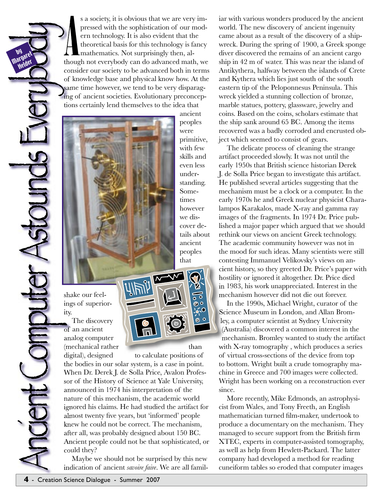s a society, it is obvious that we are very impressed with the sophistication of our modern technology. It is also evident that the theoretical basis for this technology is fancy mathematics. Not surprisingly then, althoug s a society, it is obvious that we are very impressed with the sophistication of our modern technology. It is also evident that the theoretical basis for this technology is fancy mathematics. Not surprisingly then, alconsider our society to be advanced both in terms of knowledge base and physical know how. At the same time however, we tend to be very disparaging of ancient societies. Evolutionary preconceptions certainly lend themselves to the idea that ancient

> peoples were primitive, with few skills and even less understanding. Sometimes however we discover details about ancient peoples that

> > Ø

ہ ه

 $\circ$ 



shake our feelings of superiority.

The discovery of an ancient analog computer (mechanical rather than digital), designed

digital), designed to calculate positions of

the bodies in our solar system, is a case in point. When Dr. Derek J. de Solla Price, Avalon Professor of the History of Science at Yale University,<br>announced in 1974 his interpretation of the<br>nature of this mechanism, the academic world<br>ignored his claims. He had studied the artifact fo<br>almost twenty five years, but 'i announced in 1974 his interpretation of the nature of this mechanism, the academic world ignored his claims. He had studied the artifact for almost twenty five years, but 'informed' people knew he could not be correct. The mechanism, after all, was probably designed about 150 BC. Ancient people could not be that sophisticated, or could they?

Maybe we should not be surprised by this new indication of ancient *savoire faire*. We are all familiar with various wonders produced by the ancient world. The new discovery of ancient ingenuity came about as a result of the discovery of a shipwreck. During the spring of 1900, a Greek sponge diver discovered the remains of an ancient cargo ship in 42 m of water. This was near the island of Antikythera, halfway between the islands of Crete and Kythera which lies just south of the south eastern tip of the Peloponnesus Peninsula. This wreck yielded a stunning collection of bronze, marble statues, pottery, glassware, jewelry and coins. Based on the coins, scholars estimate that the ship sank around 65 BC. Among the items recovered was a badly corroded and encrusted object which seemed to consist of gears.

The delicate process of cleaning the strange artifact proceeded slowly. It was not until the early 1950s that British science historian Derek J. de Solla Price began to investigate this artifact. He published several articles suggesting that the mechanism must be a clock or a computer. In the early 1970s he and Greek nuclear physicist Charalampos Karakalos, made X-ray and gamma ray images of the fragments. In 1974 Dr. Price published a major paper which argued that we should rethink our views on ancient Greek technology. The academic community however was not in the mood for such ideas. Many scientists were still contesting Immanuel Velikovsky's views on ancient history, so they greeted Dr. Price's paper with hostility or ignored it altogether. Dr. Price died in 1983, his work unappreciated. Interest in the mechanism however did not die out forever.

In the 1990s, Michael Wright, curator of the Science Museum in London, and Allan Bromley, a computer scientist at Sydney University (Australia) discovered a common interest in the mechanism. Bromley wanted to study the artifact with X-ray tomography , which produces a series of virtual cross-sections of the device from top to bottom. Wright built a crude tomography machine in Greece and 700 images were collected. Wright has been working on a reconstruction ever since.

More recently, Mike Edmonds, an astrophysicist from Wales, and Tony Freeth, an English mathematician turned film-maker, undertook to produce a documentary on the mechanism. They managed to secure support from the British firm XTEC, experts in computer-assisted tomography, as well as help from Hewlett-Packard. The latter company had developed a method for reading cuneiform tables so eroded that computer images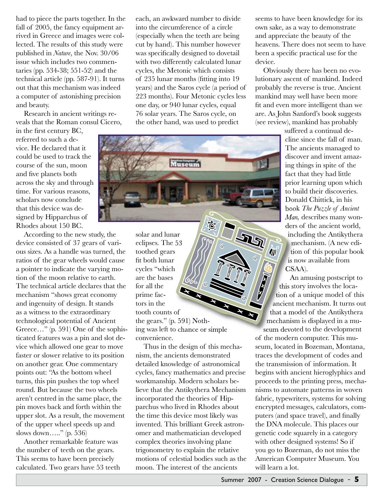had to piece the parts together. In the fall of 2005, the fancy equipment arrived in Greece and images were collected. The results of this study were published in *Nature*, the Nov. 30/06 issue which includes two commentaries (pp. 534-38; 551-52) and the technical article (pp. 587-91). It turns out that this mechanism was indeed a computer of astonishing precision and beauty.

Research in ancient writings reveals that the Roman consul Cicero,

in the first century BC, referred to such a device. He declared that it could be used to track the course of the sun, moon and five planets both across the sky and through time. For various reasons, scholars now conclude that this device was designed by Hipparchus of Rhodes about 150 BC.

According to the new study, the device consisted of 37 gears of various sizes. As a handle was turned, the ratios of the gear wheels would cause a pointer to indicate the varying motion of the moon relative to earth. The technical article declares that the mechanism "shows great economy and ingenuity of design. It stands as a witness to the extraordinary technological potential of Ancient Greece..." (p. 591) One of the sophisticated features was a pin and slot device which allowed one gear to move faster or slower relative to its position on another gear. One commentary points out: "As the bottom wheel turns, this pin pushes the top wheel round. But because the two wheels aren't centred in the same place, the pin moves back and forth within the upper slot. As a result, the movement of the upper wheel speeds up and slows down….." (p. 536)

Another remarkable feature was the number of teeth on the gears. This seems to have been precisely calculated. Two gears have 53 teeth each, an awkward number to divide into the circumference of a circle (especially when the teeth are being cut by hand). This number however was specifically designed to dovetail with two differently calculated lunar cycles, the Metonic which consists of 235 lunar months (fitting into 19) years) and the Saros cycle (a period of 223 months). Four Metonic cycles less one day, or 940 lunar cycles, equal 76 solar years. The Saros cycle, on the other hand, was used to predict

solar and lunar RA eclipses. The 53 toothed gears fit both lunar cycles "which are the bases for all the prime factors in the tooth counts of the gears." (p. 591) Nothing was left to chance or simple convenience.

Thus in the design of this mechanism, the ancients demonstrated detailed knowledge of astronomical cycles, fancy mathematics and precise workmanship. Modern scholars believe that the Antikythera Mechanism incorporated the theories of Hipparchus who lived in Rhodes about the time this device most likely was invented. This brilliant Greek astronomer and mathematician developed complex theories involving plane trigonometry to explain the relative motions of celestial bodies such as the moon. The interest of the ancients

seems to have been knowledge for its own sake, as a way to demonstrate and appreciate the beauty of the heavens. There does not seem to have been a specific practical use for the device.

Obviously there has been no evolutionary ascent of mankind. Indeed probably the reverse is true. Ancient mankind may well have been more fit and even more intelligent than we are. As John Sanford's book suggests (see review), mankind has probably

> suffered a continual decline since the fall of man. The ancients managed to discover and invent amazing things in spite of the fact that they had little prior learning upon which to build their discoveries. Donald Chittick, in his book *The Puzzle of Ancient Man,* describes many won ders of the ancient world, including the Antikythera mechanism. (A new edition of this popular book is now available from CSAA). ers of the ancient worl<br>ncluding the Antikyth<br>mechanism. (A new e<br>tion of this popular be<br>s now available from<br>SAA).<br>An amusing postscript<br>story involves the loca<br>of a unique model of<br>nt mechanism. It turns<br>model of the An

Ôm

An amusing postscript to this story involves the location of a unique model of this ancient mechanism. It turns out that a model of the Antikythera mechanism is displayed in a museum devoted to the development of the modern computer. This museum, located in Bozeman, Montana, traces the development of codes and the transmission of information. It begins with ancient hieroglyphics and proceeds to the printing press, mechanisms to automate patterns in woven fabric, typewriters, systems for solving encrypted messages, calculators, computers (and space travel), and finally the DNA molecule. This places our genetic code squarely in a category with other designed systems! So if you go to Bozeman, do not miss the American Computer Museum. You will learn a lot.

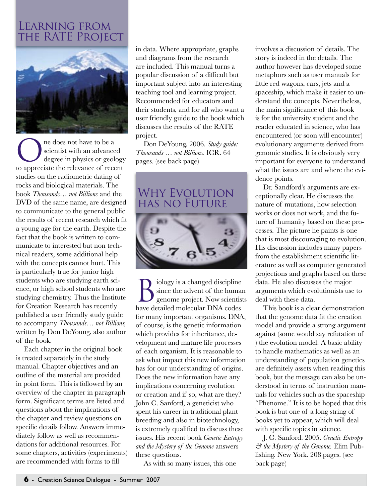## Learning from the RATE Project



One does not have to be a<br>scientist with an advance<br>degree in physics or geolet scientist with an advanced degree in physics or geology to appreciate the relevance of recent studies on the radiometric dating of rocks and biological materials. The book *Thousands… not Billions* and the DVD of the same name, are designed to communicate to the general public the results of recent research which fit a young age for the earth. Despite the fact that the book is written to communicate to interested but non technical readers, some additional help with the concepts cannot hurt. This is particularly true for junior high students who are studying earth science, or high school students who are studying chemistry. Thus the Institute for Creation Research has recently published a user friendly study guide to accompany *Thousands… not Billions,*  written by Don DeYoung, also author of the book.

Each chapter in the original book is treated separately in the study manual. Chapter objectives and an outline of the material are provided in point form. This is followed by an overview of the chapter in paragraph form. Significant terms are listed and questions about the implications of the chapter and review questions on specific details follow. Answers immediately follow as well as recommendations for additional resources. For some chapters, activities (experiments) are recommended with forms to fill

in data. Where appropriate, graphs and diagrams from the research are included. This manual turns a popular discussion of a difficult but important subject into an interesting teaching tool and learning project. Recommended for educators and their students, and for all who want a user friendly guide to the book which discusses the results of the RATE project.

Don DeYoung. 2006. *Study guide: Thousands … not Billions.* ICR. 64 pages. (see back page)

## WHY EVOLUTION has no Future



Biology is a changed discipline<br>since the advent of the human<br>genome project. Now scientist since the advent of the human genome project. Now scientists have detailed molecular DNA codes for many important organisms. DNA, of course, is the genetic information which provides for inheritance, development and mature life processes of each organism. It is reasonable to ask what impact this new information has for our understanding of origins. Does the new information have any implications concerning evolution or creation and if so, what are they? John C. Sanford, a geneticist who spent his career in traditional plant breeding and also in biotechnology, is extremely qualified to discuss these issues. His recent book *Genetic Entropy and the Mystery of the Genome* answers these questions.

As with so many issues, this one

involves a discussion of details. The story is indeed in the details. The author however has developed some metaphors such as user manuals for little red wagons, cars, jets and a spaceship, which make it easier to understand the concepts. Nevertheless, the main significance of this book is for the university student and the reader educated in science, who has encountered (or soon will encounter) evolutionary arguments derived from genomic studies. It is obviously very important for everyone to understand what the issues are and where the evidence points.

Dr. Sandford's arguments are exceptionally clear. He discusses the nature of mutations, how selection works or does not work, and the future of humanity based on these processes. The picture he paints is one that is most discouraging to evolution. His discussion includes many papers from the establishment scientific literature as well as computer generated projections and graphs based on these data. He also discusses the major arguments which evolutionists use to deal with these data.

This book is a clear demonstration that the genome data fit the creation model and provide a strong argument against (some would say refutation of ) the evolution model. A basic ability to handle mathematics as well as an understanding of population genetics are definitely assets when reading this book, but the message can also be understood in terms of instruction manuals for vehicles such as the spaceship "Phenome." It is to be hoped that this book is but one of a long string of books yet to appear, which will deal with specific topics in science.

J. C. Sanford. 2005. *Genetic Entropy & the Mystery of the Genome.* Elim Publishing. New York. 208 pages. (see back page)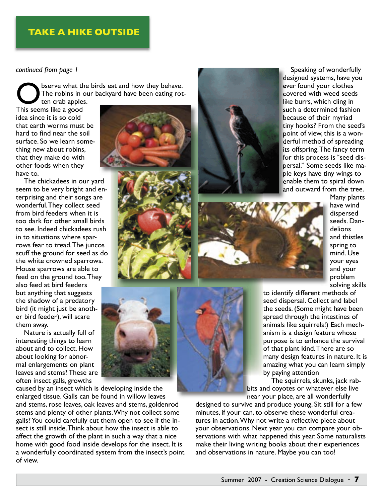#### **TAKE A HIKE OUTSIDE**

*continued from page 1*

Show the birds eat and how they behave.<br>The robins in our backyard have been eating rot<br>This seems like a good The robins in our backyard have been eating rot-

ten crab apples. This seems like a good idea since it is so cold that earth worms must be hard to find near the soil surface. So we learn something new about robins, that they make do with other foods when they have to.

The chickadees in our yard seem to be very bright and enterprising and their songs are wonderful. They collect seed from bird feeders when it is too dark for other small birds to see. Indeed chickadees rush in to situations where sparrows fear to tread. The juncos scuff the ground for seed as do the white crowned sparrows. House sparrows are able to feed on the ground too. They also feed at bird feeders but anything that suggests the shadow of a predatory bird (it might just be another bird feeder), will scare them away.

Nature is actually full of interesting things to learn about and to collect. How about looking for abnormal enlargements on plant leaves and stems? These are often insect galls, growths

caused by an insect which is developing inside the enlarged tissue. Galls can be found in willow leaves and stems, rose leaves, oak leaves and stems, goldenrod stems and plenty of other plants. Why not collect some galls? You could carefully cut them open to see if the insect is still inside. Think about how the insect is able to affect the growth of the plant in such a way that a nice home with good food inside develops for the insect. It is a wonderfully coordinated system from the insect's point of view.



Speaking of wonderfully designed systems, have you ever found your clothes covered with weed seeds like burrs, which cling in such a determined fashion because of their myriad tiny hooks? From the seed's point of view, this is a wonderful method of spreading its offspring. The fancy term for this process is "seed dispersal." Some seeds like maple keys have tiny wings to enable them to spiral down and outward from the tree. offspring.The fancy term<br>this process is "seed dis<br>sal." Some seeds like ma<br>keys have tiny wings to<br>ble them to spiral down<br>d outward from the tree.



Many plants have wind dispersed seeds. Dandelions and thistles spring to mind. Use your eyes and your problem solving skills

to identify different methods of seed dispersal. Collect and label the seeds. (Some might have been spread through the intestines of animals like squirrels!) Each mechanism is a design feature whose purpose is to enhance the survival of that plant kind. There are so many design features in nature. It is amazing what you can learn simply by paying attention

The squirrels, skunks, jack rabbits and coyotes or whatever else live near your place, are all wonderfully

designed to survive and produce young. Sit still for a few minutes, if your can, to observe these wonderful creatures in action. Why not write a reflective piece about your observations. Next year you can compare your observations with what happened this year. Some naturalists make their living writing books about their experiences and observations in nature. Maybe you can too!